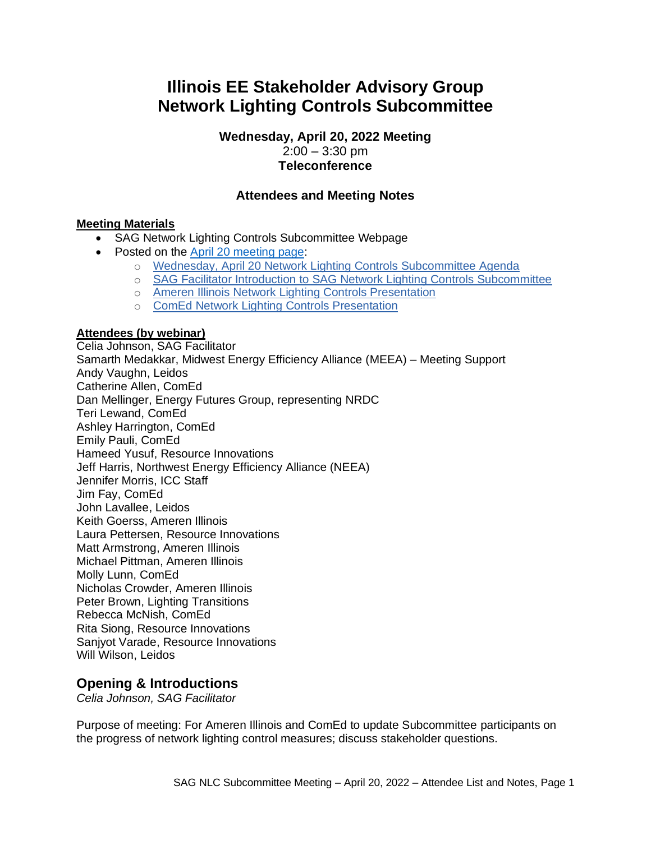# **Illinois EE Stakeholder Advisory Group Network Lighting Controls Subcommittee**

**Wednesday, April 20, 2022 Meeting**  $2:00 - 3:30$  pm **Teleconference**

## **Attendees and Meeting Notes**

#### **Meeting Materials**

- SAG Network Lighting Controls Subcommittee Webpage
- Posted on the April 20 [meeting page:](https://www.ilsag.info/event/april-20-network-lighting-controls-subcommittee-meeting/)
	- o [Wednesday, April 20 Network Lighting Controls Subcommittee Agenda](https://ilsag.s3.amazonaws.com/SAG_NLC-Subcommittee_Agenda_April-20-2022_Finalv2.pdf)
	- o [SAG Facilitator Introduction to SAG Network Lighting Controls Subcommittee](https://ilsag.s3.amazonaws.com/NLC-Subcommittee-Introductions_4-20-2022-Meeting.pdf)
	- o [Ameren Illinois Network Lighting Controls Presentation](https://ilsag.s3.amazonaws.com/Ameren-Illinois-SAG-NLC-Subcommittee-Update-4.20.2022.pdf)
	- o [ComEd Network Lighting Controls Presentation](https://ilsag.s3.amazonaws.com/SAG-NLC-Presentation_ComEd_04202022-FINAL.pdf)

#### **Attendees (by webinar)**

Celia Johnson, SAG Facilitator Samarth Medakkar, Midwest Energy Efficiency Alliance (MEEA) – Meeting Support Andy Vaughn, Leidos Catherine Allen, ComEd Dan Mellinger, Energy Futures Group, representing NRDC Teri Lewand, ComEd Ashley Harrington, ComEd Emily Pauli, ComEd Hameed Yusuf, Resource Innovations Jeff Harris, Northwest Energy Efficiency Alliance (NEEA) Jennifer Morris, ICC Staff Jim Fay, ComEd John Lavallee, Leidos Keith Goerss, Ameren Illinois Laura Pettersen, Resource Innovations Matt Armstrong, Ameren Illinois Michael Pittman, Ameren Illinois Molly Lunn, ComEd Nicholas Crowder, Ameren Illinois Peter Brown, Lighting Transitions Rebecca McNish, ComEd Rita Siong, Resource Innovations Sanjyot Varade, Resource Innovations Will Wilson, Leidos

## **Opening & Introductions**

*Celia Johnson, SAG Facilitator*

Purpose of meeting: For Ameren Illinois and ComEd to update Subcommittee participants on the progress of network lighting control measures; discuss stakeholder questions.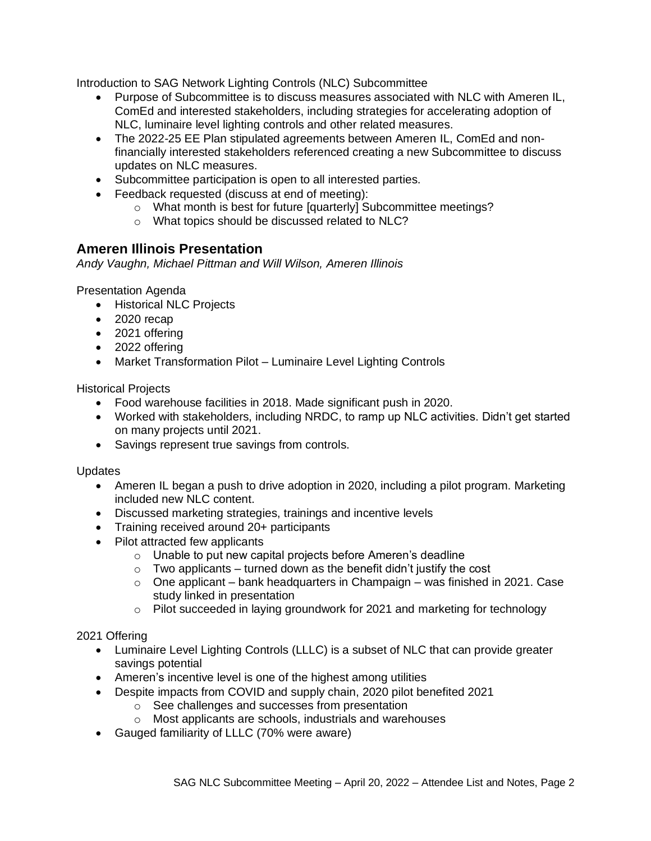Introduction to SAG Network Lighting Controls (NLC) Subcommittee

- Purpose of Subcommittee is to discuss measures associated with NLC with Ameren IL, ComEd and interested stakeholders, including strategies for accelerating adoption of NLC, luminaire level lighting controls and other related measures.
- The 2022-25 EE Plan stipulated agreements between Ameren IL, ComEd and nonfinancially interested stakeholders referenced creating a new Subcommittee to discuss updates on NLC measures.
- Subcommittee participation is open to all interested parties.
- Feedback requested (discuss at end of meeting):
	- o What month is best for future [quarterly] Subcommittee meetings?
	- o What topics should be discussed related to NLC?

## **Ameren Illinois Presentation**

*Andy Vaughn, Michael Pittman and Will Wilson, Ameren Illinois*

Presentation Agenda

- Historical NLC Projects
- 2020 recap
- 2021 offering
- 2022 offering
- Market Transformation Pilot Luminaire Level Lighting Controls

Historical Projects

- Food warehouse facilities in 2018. Made significant push in 2020.
- Worked with stakeholders, including NRDC, to ramp up NLC activities. Didn't get started on many projects until 2021.
- Savings represent true savings from controls.

Updates

- Ameren IL began a push to drive adoption in 2020, including a pilot program. Marketing included new NLC content.
- Discussed marketing strategies, trainings and incentive levels
- Training received around 20+ participants
- Pilot attracted few applicants
	- o Unable to put new capital projects before Ameren's deadline
	- $\circ$  Two applicants turned down as the benefit didn't justify the cost
	- $\circ$  One applicant bank headquarters in Champaign was finished in 2021. Case study linked in presentation
	- $\circ$  Pilot succeeded in laying groundwork for 2021 and marketing for technology

2021 Offering

- Luminaire Level Lighting Controls (LLLC) is a subset of NLC that can provide greater savings potential
- Ameren's incentive level is one of the highest among utilities
- Despite impacts from COVID and supply chain, 2020 pilot benefited 2021
	- o See challenges and successes from presentation
	- o Most applicants are schools, industrials and warehouses
- Gauged familiarity of LLLC (70% were aware)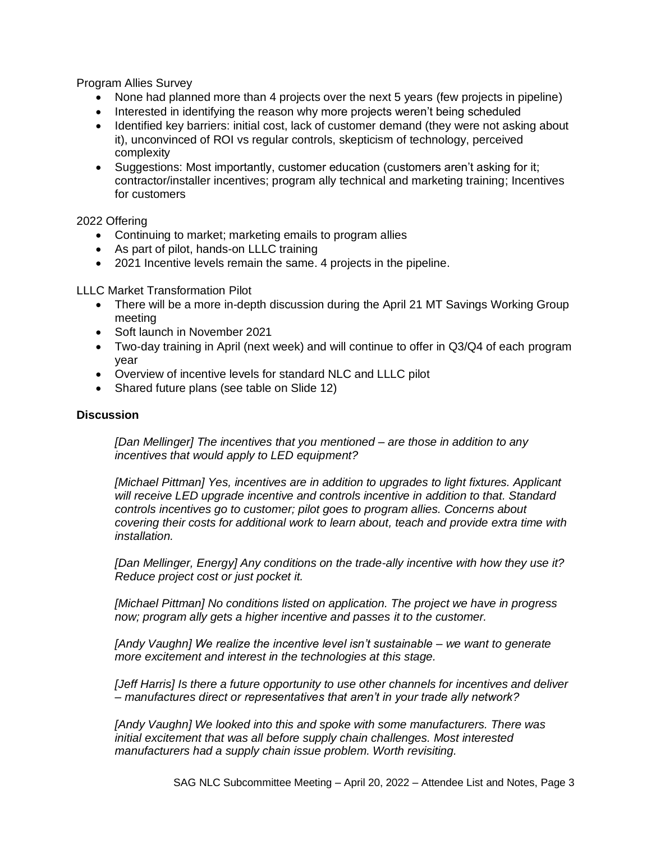Program Allies Survey

- None had planned more than 4 projects over the next 5 years (few projects in pipeline)
- Interested in identifying the reason why more projects weren't being scheduled
- Identified key barriers: initial cost, lack of customer demand (they were not asking about it), unconvinced of ROI vs regular controls, skepticism of technology, perceived complexity
- Suggestions: Most importantly, customer education (customers aren't asking for it; contractor/installer incentives; program ally technical and marketing training; Incentives for customers

#### 2022 Offering

- Continuing to market; marketing emails to program allies
- As part of pilot, hands-on LLLC training
- 2021 Incentive levels remain the same. 4 projects in the pipeline.

LLLC Market Transformation Pilot

- There will be a more in-depth discussion during the April 21 MT Savings Working Group meeting
- Soft launch in November 2021
- Two-day training in April (next week) and will continue to offer in Q3/Q4 of each program year
- Overview of incentive levels for standard NLC and LLLC pilot
- Shared future plans (see table on Slide 12)

#### **Discussion**

*[Dan Mellinger] The incentives that you mentioned – are those in addition to any incentives that would apply to LED equipment?*

*[Michael Pittman] Yes, incentives are in addition to upgrades to light fixtures. Applicant will receive LED upgrade incentive and controls incentive in addition to that. Standard controls incentives go to customer; pilot goes to program allies. Concerns about covering their costs for additional work to learn about, teach and provide extra time with installation.*

*[Dan Mellinger, Energy] Any conditions on the trade-ally incentive with how they use it? Reduce project cost or just pocket it.* 

*[Michael Pittman] No conditions listed on application. The project we have in progress now; program ally gets a higher incentive and passes it to the customer.* 

*[Andy Vaughn] We realize the incentive level isn't sustainable – we want to generate more excitement and interest in the technologies at this stage.* 

*[Jeff Harris] Is there a future opportunity to use other channels for incentives and deliver – manufactures direct or representatives that aren't in your trade ally network?*

*[Andy Vaughn] We looked into this and spoke with some manufacturers. There was initial excitement that was all before supply chain challenges. Most interested manufacturers had a supply chain issue problem. Worth revisiting.*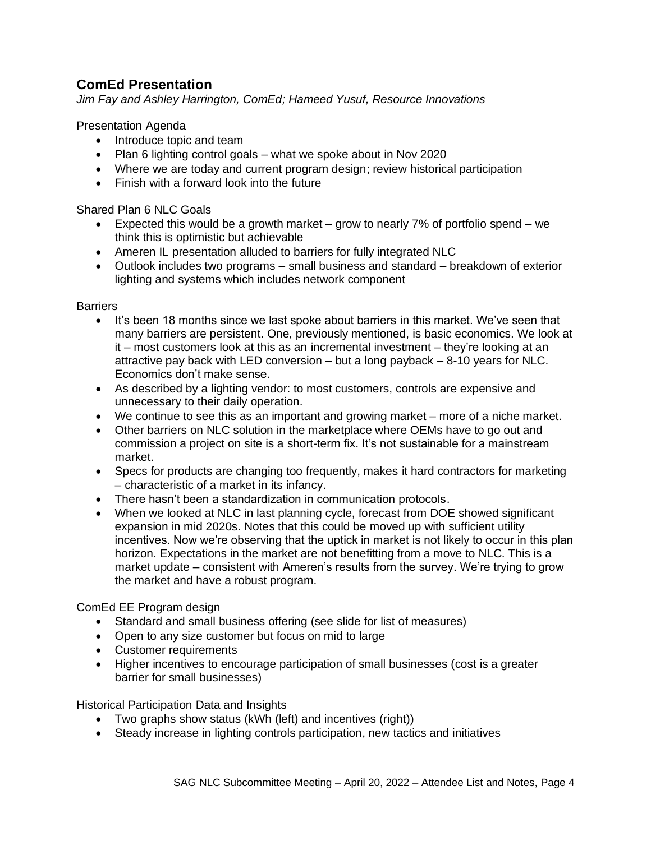# **ComEd Presentation**

*Jim Fay and Ashley Harrington, ComEd; Hameed Yusuf, Resource Innovations*

Presentation Agenda

- Introduce topic and team
- Plan 6 lighting control goals what we spoke about in Nov 2020
- Where we are today and current program design; review historical participation
- Finish with a forward look into the future

Shared Plan 6 NLC Goals

- Expected this would be a growth market grow to nearly  $7\%$  of portfolio spend we think this is optimistic but achievable
- Ameren IL presentation alluded to barriers for fully integrated NLC
- Outlook includes two programs small business and standard breakdown of exterior lighting and systems which includes network component

**Barriers** 

- It's been 18 months since we last spoke about barriers in this market. We've seen that many barriers are persistent. One, previously mentioned, is basic economics. We look at it – most customers look at this as an incremental investment – they're looking at an attractive pay back with LED conversion – but a long payback – 8-10 years for NLC. Economics don't make sense.
- As described by a lighting vendor: to most customers, controls are expensive and unnecessary to their daily operation.
- We continue to see this as an important and growing market more of a niche market.
- Other barriers on NLC solution in the marketplace where OEMs have to go out and commission a project on site is a short-term fix. It's not sustainable for a mainstream market.
- Specs for products are changing too frequently, makes it hard contractors for marketing – characteristic of a market in its infancy.
- There hasn't been a standardization in communication protocols.
- When we looked at NLC in last planning cycle, forecast from DOE showed significant expansion in mid 2020s. Notes that this could be moved up with sufficient utility incentives. Now we're observing that the uptick in market is not likely to occur in this plan horizon. Expectations in the market are not benefitting from a move to NLC. This is a market update – consistent with Ameren's results from the survey. We're trying to grow the market and have a robust program.

ComEd EE Program design

- Standard and small business offering (see slide for list of measures)
- Open to any size customer but focus on mid to large
- Customer requirements
- Higher incentives to encourage participation of small businesses (cost is a greater barrier for small businesses)

Historical Participation Data and Insights

- Two graphs show status (kWh (left) and incentives (right))
- Steady increase in lighting controls participation, new tactics and initiatives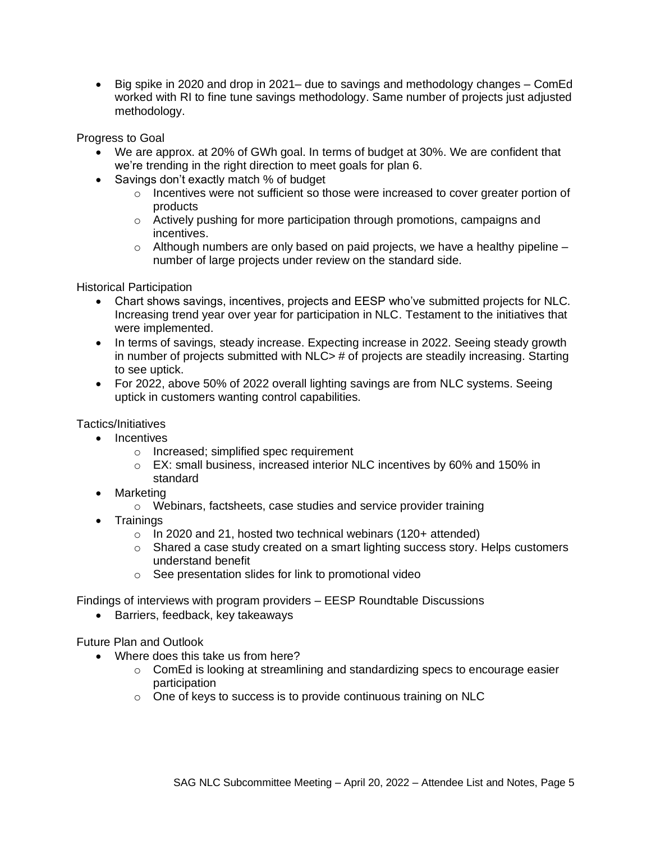• Big spike in 2020 and drop in 2021– due to savings and methodology changes – ComEd worked with RI to fine tune savings methodology. Same number of projects just adjusted methodology.

Progress to Goal

- We are approx. at 20% of GWh goal. In terms of budget at 30%. We are confident that we're trending in the right direction to meet goals for plan 6.
- Savings don't exactly match % of budget
	- o Incentives were not sufficient so those were increased to cover greater portion of products
	- $\circ$  Actively pushing for more participation through promotions, campaigns and incentives.
	- $\circ$  Although numbers are only based on paid projects, we have a healthy pipeline number of large projects under review on the standard side.

Historical Participation

- Chart shows savings, incentives, projects and EESP who've submitted projects for NLC. Increasing trend year over year for participation in NLC. Testament to the initiatives that were implemented.
- In terms of savings, steady increase. Expecting increase in 2022. Seeing steady growth in number of projects submitted with  $NLC$   $\neq$  of projects are steadily increasing. Starting to see uptick.
- For 2022, above 50% of 2022 overall lighting savings are from NLC systems. Seeing uptick in customers wanting control capabilities.

Tactics/Initiatives

- Incentives
	- o Increased; simplified spec requirement
	- $\circ$  EX: small business, increased interior NLC incentives by 60% and 150% in standard
- Marketing
	- o Webinars, factsheets, case studies and service provider training
- Trainings
	- $\circ$  In 2020 and 21, hosted two technical webinars (120+ attended)
	- $\circ$  Shared a case study created on a smart lighting success story. Helps customers understand benefit
	- o See presentation slides for link to promotional video

Findings of interviews with program providers – EESP Roundtable Discussions

• Barriers, feedback, key takeaways

Future Plan and Outlook

- Where does this take us from here?
	- $\circ$  ComEd is looking at streamlining and standardizing specs to encourage easier participation
	- $\circ$  One of keys to success is to provide continuous training on NLC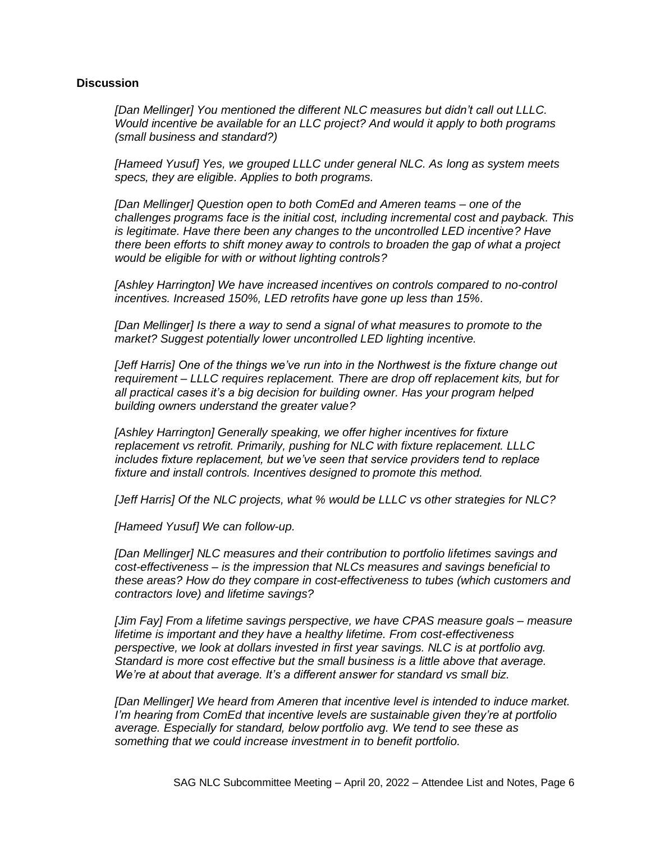#### **Discussion**

*[Dan Mellinger] You mentioned the different NLC measures but didn't call out LLLC. Would incentive be available for an LLC project? And would it apply to both programs (small business and standard?)*

*[Hameed Yusuf] Yes, we grouped LLLC under general NLC. As long as system meets specs, they are eligible. Applies to both programs.*

*[Dan Mellinger] Question open to both ComEd and Ameren teams – one of the challenges programs face is the initial cost, including incremental cost and payback. This is legitimate. Have there been any changes to the uncontrolled LED incentive? Have there been efforts to shift money away to controls to broaden the gap of what a project would be eligible for with or without lighting controls?*

*[Ashley Harrington] We have increased incentives on controls compared to no-control incentives. Increased 150%, LED retrofits have gone up less than 15%.*

*[Dan Mellinger] Is there a way to send a signal of what measures to promote to the market? Suggest potentially lower uncontrolled LED lighting incentive.* 

*[Jeff Harris] One of the things we've run into in the Northwest is the fixture change out requirement – LLLC requires replacement. There are drop off replacement kits, but for all practical cases it's a big decision for building owner. Has your program helped building owners understand the greater value?*

[Ashley Harrington] Generally speaking, we offer higher incentives for fixture *replacement vs retrofit. Primarily, pushing for NLC with fixture replacement. LLLC includes fixture replacement, but we've seen that service providers tend to replace fixture and install controls. Incentives designed to promote this method.*

*[Jeff Harris] Of the NLC projects, what % would be LLLC vs other strategies for NLC?*

*[Hameed Yusuf] We can follow-up.*

*[Dan Mellinger] NLC measures and their contribution to portfolio lifetimes savings and cost-effectiveness – is the impression that NLCs measures and savings beneficial to these areas? How do they compare in cost-effectiveness to tubes (which customers and contractors love) and lifetime savings?*

*[Jim Fay] From a lifetime savings perspective, we have CPAS measure goals – measure lifetime is important and they have a healthy lifetime. From cost-effectiveness perspective, we look at dollars invested in first year savings. NLC is at portfolio avg. Standard is more cost effective but the small business is a little above that average. We're at about that average. It's a different answer for standard vs small biz.*

*[Dan Mellinger] We heard from Ameren that incentive level is intended to induce market. I'm hearing from ComEd that incentive levels are sustainable given they're at portfolio average. Especially for standard, below portfolio avg. We tend to see these as something that we could increase investment in to benefit portfolio.*